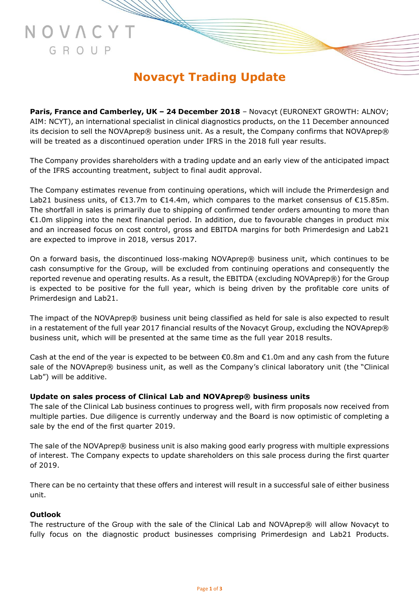# **Novacyt Trading Update**

**Paris, France and Camberley, UK – 24 December 2018** – Novacyt (EURONEXT GROWTH: ALNOV; AIM: NCYT), an international specialist in clinical diagnostics products, on the 11 December announced its decision to sell the NOVAprep® business unit. As a result, the Company confirms that NOVAprep® will be treated as a discontinued operation under IFRS in the 2018 full year results.

The Company provides shareholders with a trading update and an early view of the anticipated impact of the IFRS accounting treatment, subject to final audit approval.

The Company estimates revenue from continuing operations, which will include the Primerdesign and Lab21 business units, of €13.7m to €14.4m, which compares to the market consensus of €15.85m. The shortfall in sales is primarily due to shipping of confirmed tender orders amounting to more than €1.0m slipping into the next financial period. In addition, due to favourable changes in product mix and an increased focus on cost control, gross and EBITDA margins for both Primerdesign and Lab21 are expected to improve in 2018, versus 2017.

On a forward basis, the discontinued loss-making NOVAprep® business unit, which continues to be cash consumptive for the Group, will be excluded from continuing operations and consequently the reported revenue and operating results. As a result, the EBITDA (excluding NOVAprep®) for the Group is expected to be positive for the full year, which is being driven by the profitable core units of Primerdesign and Lab21.

The impact of the NOVAprep® business unit being classified as held for sale is also expected to result in a restatement of the full year 2017 financial results of the Novacyt Group, excluding the NOVAprep® business unit, which will be presented at the same time as the full year 2018 results.

Cash at the end of the year is expected to be between €0.8m and €1.0m and any cash from the future sale of the NOVAprep® business unit, as well as the Company's clinical laboratory unit (the "Clinical Lab") will be additive.

## **Update on sales process of Clinical Lab and NOVAprep® business units**

The sale of the Clinical Lab business continues to progress well, with firm proposals now received from multiple parties. Due diligence is currently underway and the Board is now optimistic of completing a sale by the end of the first quarter 2019.

The sale of the NOVAprep® business unit is also making good early progress with multiple expressions of interest. The Company expects to update shareholders on this sale process during the first quarter of 2019.

There can be no certainty that these offers and interest will result in a successful sale of either business unit.

### **Outlook**

NOVACYT

GROUP

The restructure of the Group with the sale of the Clinical Lab and NOVAprep® will allow Novacyt to fully focus on the diagnostic product businesses comprising Primerdesign and Lab21 Products.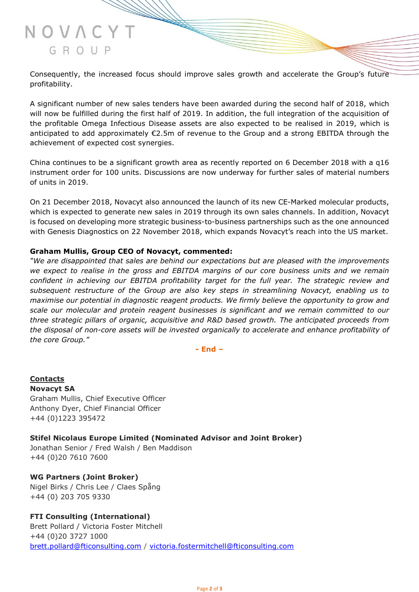# NOVACYT GROUP

Consequently, the increased focus should improve sales growth and accelerate the Group's future profitability.

A significant number of new sales tenders have been awarded during the second half of 2018, which will now be fulfilled during the first half of 2019. In addition, the full integration of the acquisition of the profitable Omega Infectious Disease assets are also expected to be realised in 2019, which is anticipated to add approximately €2.5m of revenue to the Group and a strong EBITDA through the achievement of expected cost synergies.

China continues to be a significant growth area as recently reported on 6 December 2018 with a q16 instrument order for 100 units. Discussions are now underway for further sales of material numbers of units in 2019.

On 21 December 2018, Novacyt also announced the launch of its new CE-Marked molecular products, which is expected to generate new sales in 2019 through its own sales channels. In addition, Novacyt is focused on developing more strategic business-to-business partnerships such as the one announced with Genesis Diagnostics on 22 November 2018, which expands Novacyt's reach into the US market.

# **Graham Mullis, Group CEO of Novacyt, commented:**

*"We are disappointed that sales are behind our expectations but are pleased with the improvements we expect to realise in the gross and EBITDA margins of our core business units and we remain confident in achieving our EBITDA profitability target for the full year. The strategic review and subsequent restructure of the Group are also key steps in streamlining Novacyt, enabling us to maximise our potential in diagnostic reagent products. We firmly believe the opportunity to grow and scale our molecular and protein reagent businesses is significant and we remain committed to our three strategic pillars of organic, acquisitive and R&D based growth. The anticipated proceeds from the disposal of non-core assets will be invested organically to accelerate and enhance profitability of the core Group."*

**- End –**

**Contacts Novacyt SA** Graham Mullis, Chief Executive Officer Anthony Dyer, Chief Financial Officer +44 (0)1223 395472

**Stifel Nicolaus Europe Limited (Nominated Advisor and Joint Broker)** Jonathan Senior / Fred Walsh / Ben Maddison +44 (0)20 7610 7600

**WG Partners (Joint Broker)** Nigel Birks / Chris Lee / Claes Spång +44 (0) 203 705 9330

**FTI Consulting (International)**

Brett Pollard / Victoria Foster Mitchell +44 (0)20 3727 1000 [brett.pollard@fticonsulting.com](mailto:brett.pollard@fticonsulting.com) / [victoria.fostermitchell@fticonsulting.com](mailto:victoria.fostermitchell@fticonsulting.com)